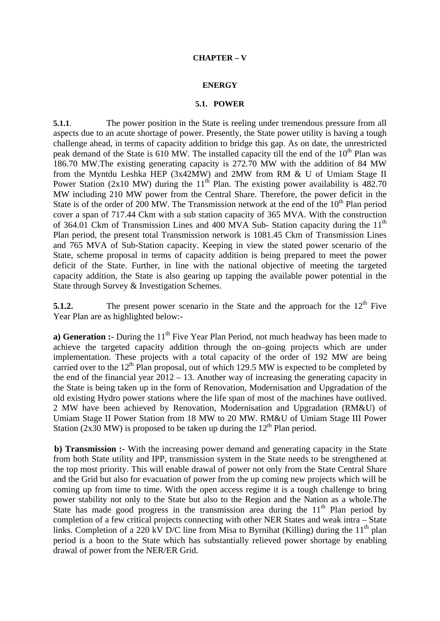### **ENERGY**

## **5.1. POWER**

**5.1.1**. The power position in the State is reeling under tremendous pressure from all aspects due to an acute shortage of power. Presently, the State power utility is having a tough challenge ahead, in terms of capacity addition to bridge this gap. As on date, the unrestricted peak demand of the State is 610 MW. The installed capacity till the end of the 10<sup>th</sup> Plan was 186.70 MW.The existing generating capacity is 272.70 MW with the addition of 84 MW from the Myntdu Leshka HEP (3x42MW) and 2MW from RM & U of Umiam Stage II Power Station (2x10 MW) during the  $11<sup>th</sup>$  Plan. The existing power availability is 482.70 MW including 210 MW power from the Central Share. Therefore, the power deficit in the State is of the order of 200 MW. The Transmission network at the end of the  $10<sup>th</sup>$  Plan period cover a span of 717.44 Ckm with a sub station capacity of 365 MVA. With the construction of 364.01 Ckm of Transmission Lines and 400 MVA Sub-Station capacity during the  $11<sup>th</sup>$ Plan period, the present total Transmission network is 1081.45 Ckm of Transmission Lines and 765 MVA of Sub-Station capacity. Keeping in view the stated power scenario of the State, scheme proposal in terms of capacity addition is being prepared to meet the power deficit of the State. Further, in line with the national objective of meeting the targeted capacity addition, the State is also gearing up tapping the available power potential in the State through Survey & Investigation Schemes.

**5.1.2.** The present power scenario in the State and the approach for the 12<sup>th</sup> Five Year Plan are as highlighted below:-

**a) Generation :-** During the 11<sup>th</sup> Five Year Plan Period, not much headway has been made to achieve the targeted capacity addition through the on–going projects which are under implementation. These projects with a total capacity of the order of 192 MW are being carried over to the  $12<sup>th</sup>$  Plan proposal, out of which 129.5 MW is expected to be completed by the end of the financial year 2012 – 13. Another way of increasing the generating capacity in the State is being taken up in the form of Renovation, Modernisation and Upgradation of the old existing Hydro power stations where the life span of most of the machines have outlived. 2 MW have been achieved by Renovation, Modernisation and Upgradation (RM&U) of Umiam Stage II Power Station from 18 MW to 20 MW. RM&U of Umiam Stage III Power Station (2x30 MW) is proposed to be taken up during the  $12<sup>th</sup>$  Plan period.

**b) Transmission :-** With the increasing power demand and generating capacity in the State from both State utility and IPP, transmission system in the State needs to be strengthened at the top most priority. This will enable drawal of power not only from the State Central Share and the Grid but also for evacuation of power from the up coming new projects which will be coming up from time to time. With the open access regime it is a tough challenge to bring power stability not only to the State but also to the Region and the Nation as a whole.The State has made good progress in the transmission area during the  $11<sup>th</sup>$  Plan period by completion of a few critical projects connecting with other NER States and weak intra – State links. Completion of a 220 kV D/C line from Misa to Byrnihat (Killing) during the  $11<sup>th</sup>$  plan period is a boon to the State which has substantially relieved power shortage by enabling drawal of power from the NER/ER Grid.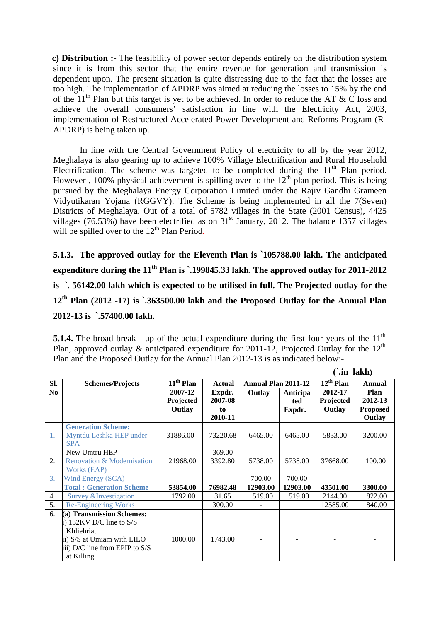**c) Distribution :-** The feasibility of power sector depends entirely on the distribution system since it is from this sector that the entire revenue for generation and transmission is dependent upon. The present situation is quite distressing due to the fact that the losses are too high. The implementation of APDRP was aimed at reducing the losses to 15% by the end of the 11<sup>th</sup> Plan but this target is yet to be achieved. In order to reduce the AT & C loss and achieve the overall consumers' satisfaction in line with the Electricity Act, 2003, implementation of Restructured Accelerated Power Development and Reforms Program (R-APDRP) is being taken up.

In line with the Central Government Policy of electricity to all by the year 2012, Meghalaya is also gearing up to achieve 100% Village Electrification and Rural Household Electrification. The scheme was targeted to be completed during the  $11<sup>th</sup>$  Plan period. However, 100% physical achievement is spilling over to the  $12<sup>th</sup>$  plan period. This is being pursued by the Meghalaya Energy Corporation Limited under the Rajiv Gandhi Grameen Vidyutikaran Yojana (RGGVY). The Scheme is being implemented in all the 7(Seven) Districts of Meghalaya. Out of a total of 5782 villages in the State (2001 Census), 4425 villages (76.53%) have been electrified as on  $31<sup>st</sup>$  January, 2012. The balance 1357 villages will be spilled over to the  $12<sup>th</sup>$  Plan Period.

**5.1.3. The approved outlay for the Eleventh Plan is `105788.00 lakh. The anticipated expenditure during the 11th Plan is `.199845.33 lakh. The approved outlay for 2011-2012 is `. 56142.00 lakh which is expected to be utilised in full. The Projected outlay for the 12th Plan (2012 -17) is `.363500.00 lakh and the Proposed Outlay for the Annual Plan 2012-13 is `.57400.00 lakh.** 

**5.1.4.** The broad break - up of the actual expenditure during the first four years of the  $11<sup>th</sup>$ Plan, approved outlay & anticipated expenditure for 2011-12, Projected Outlay for the 12<sup>th</sup> Plan and the Proposed Outlay for the Annual Plan 2012-13 is as indicated below:-

**(`.in lakh)** 

|                  |                                 |             |               |                            |          | \ •III IGIXII <i>)</i> |                 |
|------------------|---------------------------------|-------------|---------------|----------------------------|----------|------------------------|-----------------|
| SI.              | <b>Schemes/Projects</b>         | $11th$ Plan | <b>Actual</b> | <b>Annual Plan 2011-12</b> |          | $12^{th}$ Plan         | Annual          |
| N <sub>0</sub>   |                                 | 2007-12     | Expdr.        | Outlay                     | Anticipa | 2012-17                | Plan            |
|                  |                                 | Projected   | 2007-08       |                            | ted      | Projected              | 2012-13         |
|                  |                                 | Outlay      | to            |                            | Expdr.   | Outlay                 | <b>Proposed</b> |
|                  |                                 |             | 2010-11       |                            |          |                        | Outlay          |
|                  | <b>Generation Scheme:</b>       |             |               |                            |          |                        |                 |
| 1.               | Myntdu Leshka HEP under         | 31886.00    | 73220.68      | 6465.00                    | 6465.00  | 5833.00                | 3200.00         |
|                  | <b>SPA</b>                      |             |               |                            |          |                        |                 |
|                  | New Umtru HEP                   |             | 369.00        |                            |          |                        |                 |
| $\overline{2}$ . | Renovation & Modernisation      | 21968.00    | 3392.80       | 5738.00                    | 5738.00  | 37668.00               | 100.00          |
|                  | Works (EAP)                     |             |               |                            |          |                        |                 |
| 3.               | Wind Energy (SCA)               |             |               | 700.00                     | 700.00   |                        |                 |
|                  | <b>Total: Generation Scheme</b> | 53854.00    | 76982.48      | 12903.00                   | 12903.00 | 43501.00               | 3300.00         |
| 4.               | Survey & Investigation          | 1792.00     | 31.65         | 519.00                     | 519.00   | 2144.00                | 822.00          |
| 5.               | <b>Re-Engineering Works</b>     |             | 300.00        |                            |          | 12585.00               | 840.00          |
| 6.               | (a) Transmission Schemes:       |             |               |                            |          |                        |                 |
|                  | i) 132KV D/C line to $S/S$      |             |               |                            |          |                        |                 |
|                  | Khliehriat                      |             |               |                            |          |                        |                 |
|                  | ii) S/S at Umiam with LILO      | 1000.00     | 1743.00       |                            |          |                        |                 |
|                  | iii) D/C line from EPIP to S/S  |             |               |                            |          |                        |                 |
|                  | at Killing                      |             |               |                            |          |                        |                 |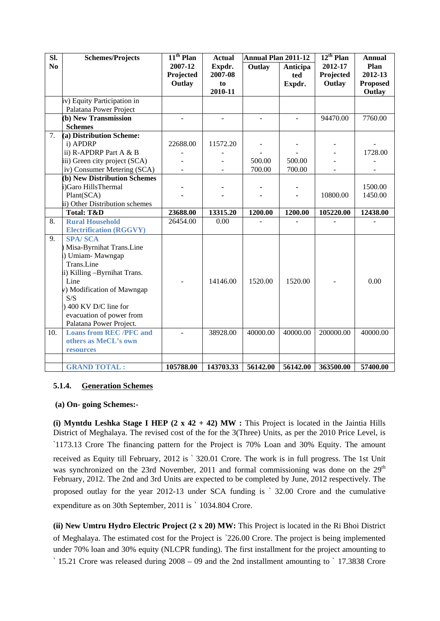| SI.            | <b>Schemes/Projects</b>        | $11th$ Plan              | <b>Actual</b> | <b>Annual Plan 2011-12</b> |                | $12^{th}$ Plan | <b>Annual</b>   |
|----------------|--------------------------------|--------------------------|---------------|----------------------------|----------------|----------------|-----------------|
| N <sub>0</sub> |                                | 2007-12                  | Expdr.        | <b>Outlay</b>              | Anticipa       | 2012-17        | Plan            |
|                |                                | Projected                | 2007-08       |                            | ted            | Projected      | 2012-13         |
|                |                                | Outlay                   | to            |                            | Expdr.         | Outlay         | <b>Proposed</b> |
|                |                                |                          | 2010-11       |                            |                |                | Outlay          |
|                | iv) Equity Participation in    |                          |               |                            |                |                |                 |
|                | Palatana Power Project         |                          |               |                            |                |                |                 |
|                | (b) New Transmission           | $\overline{\phantom{a}}$ |               |                            | $\blacksquare$ | 94470.00       | 7760.00         |
|                | <b>Schemes</b>                 |                          |               |                            |                |                |                 |
| 7.             | (a) Distribution Scheme:       |                          |               |                            |                |                |                 |
|                | i) APDRP                       | 22688.00                 | 11572.20      |                            |                |                |                 |
|                | ii) R-APDRP Part A & B         |                          |               |                            |                |                | 1728.00         |
|                | iii) Green city project (SCA)  |                          |               | 500.00                     | 500.00         |                |                 |
|                | iv) Consumer Metering (SCA)    |                          |               | 700.00                     | 700.00         |                |                 |
|                | (b) New Distribution Schemes   |                          |               |                            |                |                |                 |
|                | i)Garo HillsThermal            |                          |               |                            |                |                | 1500.00         |
|                | Plant(SCA)                     |                          |               |                            |                | 10800.00       | 1450.00         |
|                | ii) Other Distribution schemes |                          |               |                            |                |                |                 |
|                | <b>Total: T&amp;D</b>          | 23688.00                 | 13315.20      | 1200.00                    | 1200.00        | 105220.00      | 12438.00        |
| 8.             | <b>Rural Household</b>         | 26454.00                 | 0.00          |                            |                |                |                 |
|                | <b>Electrification (RGGVY)</b> |                          |               |                            |                |                |                 |
| 9.             | <b>SPA/SCA</b>                 |                          |               |                            |                |                |                 |
|                | Misa-Byrnihat Trans.Line       |                          |               |                            |                |                |                 |
|                | ) Umiam-Mawngap                |                          |               |                            |                |                |                 |
|                | Trans.Line                     |                          |               |                            |                |                |                 |
|                | ii) Killing -Byrnihat Trans.   |                          |               |                            |                |                |                 |
|                | Line                           |                          | 14146.00      | 1520.00                    | 1520.00        |                | 0.00            |
|                | v) Modification of Mawngap     |                          |               |                            |                |                |                 |
|                | S/S                            |                          |               |                            |                |                |                 |
|                | ) 400 KV D/C line for          |                          |               |                            |                |                |                 |
|                | evacuation of power from       |                          |               |                            |                |                |                 |
|                | Palatana Power Project.        |                          |               |                            |                |                |                 |
| 10.            | <b>Loans from REC /PFC and</b> |                          | 38928.00      | 40000.00                   | 40000.00       | 200000.00      | 40000.00        |
|                | others as MeCL's own           |                          |               |                            |                |                |                 |
|                | resources                      |                          |               |                            |                |                |                 |
|                |                                |                          |               |                            |                |                |                 |
|                | <b>GRAND TOTAL:</b>            | 105788.00                | 143703.33     | 56142.00                   | 56142.00       | 363500.00      | 57400.00        |

# **5.1.4. Generation Schemes**

### **(a) On- going Schemes:-**

(i) Myntdu Leshka Stage I HEP  $(2 \times 42 + 42)$  MW : This Project is located in the Jaintia Hills District of Meghalaya. The revised cost of the for the 3(Three) Units, as per the 2010 Price Level, is `1173.13 Crore The financing pattern for the Project is 70% Loan and 30% Equity. The amount received as Equity till February, 2012 is ` 320.01 Crore. The work is in full progress. The 1st Unit was synchronized on the 23rd November, 2011 and formal commissioning was done on the  $29<sup>th</sup>$ February, 2012. The 2nd and 3rd Units are expected to be completed by June, 2012 respectively. The proposed outlay for the year 2012-13 under SCA funding is ` 32.00 Crore and the cumulative expenditure as on 30th September, 2011 is ` 1034.804 Crore.

**(ii) New Umtru Hydro Electric Project (2 x 20) MW:** This Project is located in the Ri Bhoi District of Meghalaya. The estimated cost for the Project is `226.00 Crore. The project is being implemented under 70% loan and 30% equity (NLCPR funding). The first installment for the project amounting to ` 15.21 Crore was released during 2008 – 09 and the 2nd installment amounting to ` 17.3838 Crore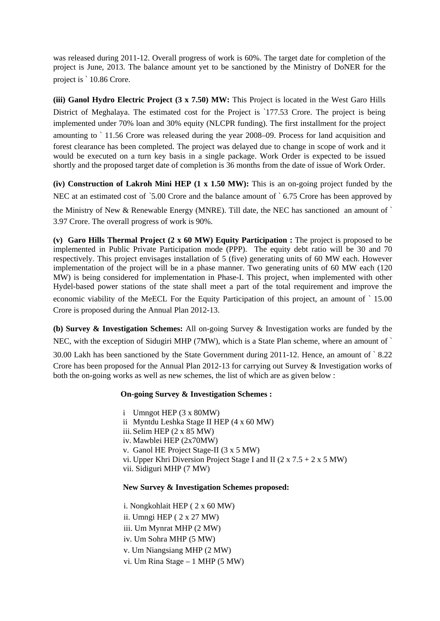was released during 2011-12. Overall progress of work is 60%. The target date for completion of the project is June, 2013. The balance amount yet to be sanctioned by the Ministry of DoNER for the project is ` 10.86 Crore.

**(iii) Ganol Hydro Electric Project (3 x 7.50) MW:** This Project is located in the West Garo Hills District of Meghalaya. The estimated cost for the Project is `177.53 Crore. The project is being implemented under 70% loan and 30% equity (NLCPR funding). The first installment for the project amounting to ` 11.56 Crore was released during the year 2008–09. Process for land acquisition and forest clearance has been completed. The project was delayed due to change in scope of work and it would be executed on a turn key basis in a single package. Work Order is expected to be issued shortly and the proposed target date of completion is 36 months from the date of issue of Work Order.

**(iv) Construction of Lakroh Mini HEP (1 x 1.50 MW):** This is an on-going project funded by the NEC at an estimated cost of `5.00 Crore and the balance amount of `6.75 Crore has been approved by

the Ministry of New & Renewable Energy (MNRE). Till date, the NEC has sanctioned an amount of ` 3.97 Crore. The overall progress of work is 90%.

**(v) Garo Hills Thermal Project (2 x 60 MW) Equity Participation :** The project is proposed to be implemented in Public Private Participation mode (PPP). The equity debt ratio will be 30 and 70 respectively. This project envisages installation of 5 (five) generating units of 60 MW each. However implementation of the project will be in a phase manner. Two generating units of 60 MW each (120 MW) is being considered for implementation in Phase-I. This project, when implemented with other Hydel-based power stations of the state shall meet a part of the total requirement and improve the economic viability of the MeECL For the Equity Participation of this project, an amount of ` 15.00 Crore is proposed during the Annual Plan 2012-13.

**(b) Survey & Investigation Schemes:** All on-going Survey & Investigation works are funded by the NEC, with the exception of Sidugiri MHP (7MW), which is a State Plan scheme, where an amount of `

30.00 Lakh has been sanctioned by the State Government during 2011-12. Hence, an amount of ` 8.22 Crore has been proposed for the Annual Plan 2012-13 for carrying out Survey & Investigation works of both the on-going works as well as new schemes, the list of which are as given below :

### **On-going Survey & Investigation Schemes :**

i Umngot HEP (3 x 80MW) ii Myntdu Leshka Stage II HEP (4 x 60 MW) iii. Selim HEP (2 x 85 MW) iv. Mawblei HEP (2x70MW) v. Ganol HE Project Stage-II (3 x 5 MW) vi. Upper Khri Diversion Project Stage I and II  $(2 \times 7.5 + 2 \times 5)$  MW) vii. Sidiguri MHP (7 MW)

### **New Survey & Investigation Schemes proposed:**

i. Nongkohlait HEP ( 2 x 60 MW) ii. Umngi HEP ( 2 x 27 MW) iii. Um Mynrat MHP (2 MW) iv. Um Sohra MHP (5 MW) v. Um Niangsiang MHP (2 MW) vi. Um Rina Stage – 1 MHP (5 MW)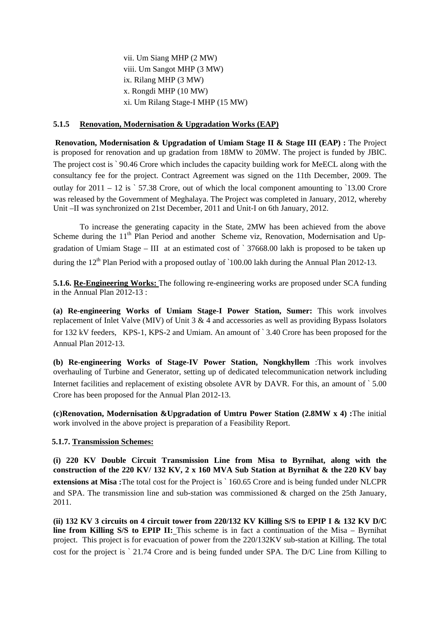vii. Um Siang MHP (2 MW) viii. Um Sangot MHP (3 MW) ix. Rilang MHP (3 MW) x. Rongdi MHP (10 MW) xi. Um Rilang Stage-I MHP (15 MW)

## **5.1.5 Renovation, Modernisation & Upgradation Works (EAP)**

**Renovation, Modernisation & Upgradation of Umiam Stage II & Stage III (EAP) :** The Project is proposed for renovation and up gradation from 18MW to 20MW. The project is funded by JBIC. The project cost is ` 90.46 Crore which includes the capacity building work for MeECL along with the consultancy fee for the project. Contract Agreement was signed on the 11th December, 2009. The outlay for  $2011 - 12$  is  $\degree$  57.38 Crore, out of which the local component amounting to  $\degree$ 13.00 Crore was released by the Government of Meghalaya. The Project was completed in January, 2012, whereby Unit –II was synchronized on 21st December, 2011 and Unit-I on 6th January, 2012.

 To increase the generating capacity in the State, 2MW has been achieved from the above Scheme during the 11<sup>th</sup> Plan Period and another Scheme viz, Renovation, Modernisation and Upgradation of Umiam Stage – III at an estimated cost of ` 37668.00 lakh is proposed to be taken up during the  $12<sup>th</sup>$  Plan Period with a proposed outlay of `100.00 lakh during the Annual Plan 2012-13.

**5.1.6. Re-Engineering Works:** The following re-engineering works are proposed under SCA funding in the Annual Plan 2012-13 :

**(a) Re-engineering Works of Umiam Stage-I Power Station, Sumer:** This work involves replacement of Inlet Valve (MIV) of Unit 3 & 4 and accessories as well as providing Bypass Isolators for 132 kV feeders, KPS-1, KPS-2 and Umiam. An amount of ` 3.40 Crore has been proposed for the Annual Plan 2012-13.

**(b) Re-engineering Works of Stage-IV Power Station, Nongkhyllem** :This work involves overhauling of Turbine and Generator, setting up of dedicated telecommunication network including Internet facilities and replacement of existing obsolete AVR by DAVR. For this, an amount of  $\degree$  5.00 Crore has been proposed for the Annual Plan 2012-13.

**(c)Renovation, Modernisation &Upgradation of Umtru Power Station (2.8MW x 4) :**The initial work involved in the above project is preparation of a Feasibility Report.

## **5.1.7. Transmission Schemes:**

 **(i) 220 KV Double Circuit Transmission Line from Misa to Byrnihat, along with the construction of the 220 KV/ 132 KV, 2 x 160 MVA Sub Station at Byrnihat & the 220 KV bay extensions at Misa :**The total cost for the Project is ` 160.65 Crore and is being funded under NLCPR and SPA. The transmission line and sub-station was commissioned  $\&$  charged on the 25th January, 2011.

 **(ii) 132 KV 3 circuits on 4 circuit tower from 220/132 KV Killing S/S to EPIP I & 132 KV D/C line from Killing S/S to EPIP II:** This scheme is in fact a continuation of the Misa – Byrnihat project. This project is for evacuation of power from the 220/132KV sub-station at Killing. The total cost for the project is ` 21.74 Crore and is being funded under SPA. The D/C Line from Killing to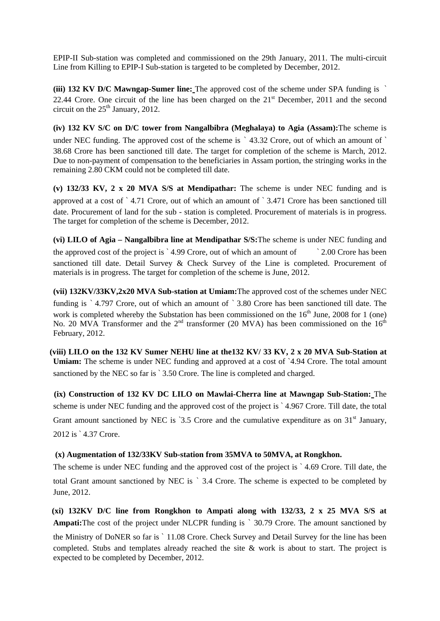EPIP-II Sub-station was completed and commissioned on the 29th January, 2011. The multi-circuit Line from Killing to EPIP-I Sub-station is targeted to be completed by December, 2012.

**(iii) 132 KV D/C Mawngap-Sumer line:** The approved cost of the scheme under SPA funding is ` 22.44 Crore. One circuit of the line has been charged on the  $21<sup>st</sup>$  December, 2011 and the second circuit on the  $25<sup>th</sup>$  January, 2012.

**(iv) 132 KV S/C on D/C tower from Nangalbibra (Meghalaya) to Agia (Assam):**The scheme is under NEC funding. The approved cost of the scheme is  $\degree$  43.32 Crore, out of which an amount of  $\degree$ 38.68 Crore has been sanctioned till date. The target for completion of the scheme is March, 2012. Due to non-payment of compensation to the beneficiaries in Assam portion, the stringing works in the remaining 2.80 CKM could not be completed till date.

**(v) 132/33 KV, 2 x 20 MVA S/S at Mendipathar:** The scheme is under NEC funding and is approved at a cost of ` 4.71 Crore, out of which an amount of ` 3.471 Crore has been sanctioned till date. Procurement of land for the sub - station is completed. Procurement of materials is in progress. The target for completion of the scheme is December, 2012.

**(vi) LILO of Agia – Nangalbibra line at Mendipathar S/S:**The scheme is under NEC funding and the approved cost of the project is `4.99 Crore, out of which an amount of ` 2.00 Crore has been sanctioned till date. Detail Survey & Check Survey of the Line is completed. Procurement of materials is in progress. The target for completion of the scheme is June, 2012.

**(vii) 132KV/33KV,2x20 MVA Sub-station at Umiam:**The approved cost of the schemes under NEC funding is ` 4.797 Crore, out of which an amount of ` 3.80 Crore has been sanctioned till date. The work is completed whereby the Substation has been commissioned on the  $16<sup>th</sup>$  June, 2008 for 1 (one) No. 20 MVA Transformer and the  $2<sup>nd</sup>$  transformer (20 MVA) has been commissioned on the  $16<sup>th</sup>$ February, 2012.

 **(viii) LILO on the 132 KV Sumer NEHU line at the132 KV/ 33 KV, 2 x 20 MVA Sub-Station at Umiam:** The scheme is under NEC funding and approved at a cost of `4.94 Crore. The total amount sanctioned by the NEC so far is ` 3.50 Crore. The line is completed and charged.

 **(ix) Construction of 132 KV DC LILO on Mawlai-Cherra line at Mawngap Sub-Station:** The scheme is under NEC funding and the approved cost of the project is ` 4.967 Crore. Till date, the total Grant amount sanctioned by NEC is  $3.5$  Crore and the cumulative expenditure as on  $31<sup>st</sup>$  January, 2012 is ` 4.37 Crore.

## **(x) Augmentation of 132/33KV Sub-station from 35MVA to 50MVA, at Rongkhon.**

The scheme is under NEC funding and the approved cost of the project is ` 4.69 Crore. Till date, the total Grant amount sanctioned by NEC is ` 3.4 Crore. The scheme is expected to be completed by June, 2012.

**(xi) 132KV D/C line from Rongkhon to Ampati along with 132/33, 2 x 25 MVA S/S at Ampati:**The cost of the project under NLCPR funding is ` 30.79 Crore. The amount sanctioned by the Ministry of DoNER so far is ` 11.08 Crore. Check Survey and Detail Survey for the line has been completed. Stubs and templates already reached the site & work is about to start. The project is expected to be completed by December, 2012.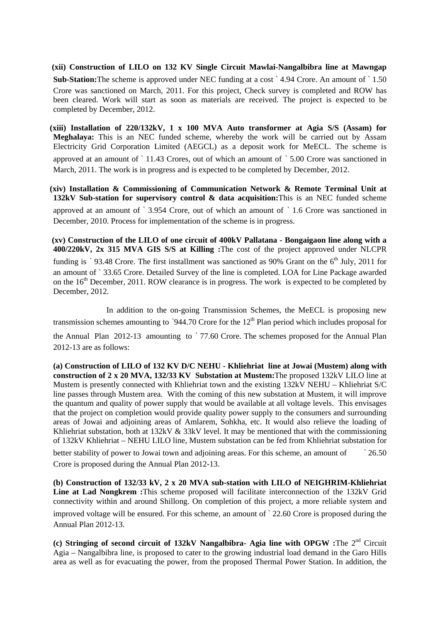**(xii) Construction of LILO on 132 KV Single Circuit Mawlai-Nangalbibra line at Mawngap Sub-Station:**The scheme is approved under NEC funding at a cost ` 4.94 Crore. An amount of ` 1.50 Crore was sanctioned on March, 2011. For this project, Check survey is completed and ROW has been cleared. Work will start as soon as materials are received. The project is expected to be completed by December, 2012.

**(xiii) Installation of 220/132kV, 1 x 100 MVA Auto transformer at Agia S/S (Assam) for Meghalaya:** This is an NEC funded scheme, whereby the work will be carried out by Assam Electricity Grid Corporation Limited (AEGCL) as a deposit work for MeECL. The scheme is approved at an amount of ` 11.43 Crores, out of which an amount of ` 5.00 Crore was sanctioned in March, 2011. The work is in progress and is expected to be completed by December, 2012.

**(xiv) Installation & Commissioning of Communication Network & Remote Terminal Unit at 132kV Sub-station for supervisory control & data acquisition:**This is an NEC funded scheme approved at an amount of ` 3.954 Crore, out of which an amount of ` 1.6 Crore was sanctioned in December, 2010. Process for implementation of the scheme is in progress.

 **(xv) Construction of the LILO of one circuit of 400kV Pallatana - Bongaigaon line along with a 400/220kV, 2x 315 MVA GIS S/S at Killing :**The cost of the project approved under NLCPR funding is `93.48 Crore. The first installment was sanctioned as 90% Grant on the  $6<sup>th</sup>$  July, 2011 for an amount of ` 33.65 Crore. Detailed Survey of the line is completed. LOA for Line Package awarded on the  $16<sup>th</sup>$  December, 2011. ROW clearance is in progress. The work is expected to be completed by December, 2012.

In addition to the on-going Transmission Schemes, the MeECL is proposing new transmission schemes amounting to '944.70 Crore for the  $12<sup>th</sup>$  Plan period which includes proposal for the Annual Plan 2012-13 amounting to ` 77.60 Crore. The schemes proposed for the Annual Plan 2012-13 are as follows:

**(a) Construction of LILO of 132 KV D/C NEHU - Khliehriat line at Jowai (Mustem) along with construction of 2 x 20 MVA, 132/33 KV Substation at Mustem:**The proposed 132kV LILO line at Mustem is presently connected with Khliehriat town and the existing 132kV NEHU – Khliehriat S/C line passes through Mustem area. With the coming of this new substation at Mustem, it will improve the quantum and quality of power supply that would be available at all voltage levels. This envisages that the project on completion would provide quality power supply to the consumers and surrounding areas of Jowai and adjoining areas of Amlarem, Sohkha, etc. It would also relieve the loading of Khliehriat substation, both at 132kV & 33kV level. It may be mentioned that with the commissioning of 132kV Khliehriat – NEHU LILO line, Mustem substation can be fed from Khliehriat substation for better stability of power to Jowai town and adjoining areas. For this scheme, an amount of <sup>26.50</sup> Crore is proposed during the Annual Plan 2012-13.

**(b) Construction of 132/33 kV, 2 x 20 MVA sub-station with LILO of NEIGHRIM-Khliehriat Line at Lad Nongkrem :**This scheme proposed will facilitate interconnection of the 132kV Grid connectivity within and around Shillong. On completion of this project, a more reliable system and improved voltage will be ensured. For this scheme, an amount of ` 22.60 Crore is proposed during the Annual Plan 2012-13.

**(c) Stringing of second circuit of 132kV Nangalbibra- Agia line with OPGW :**The 2nd Circuit Agia – Nangalbibra line, is proposed to cater to the growing industrial load demand in the Garo Hills area as well as for evacuating the power, from the proposed Thermal Power Station. In addition, the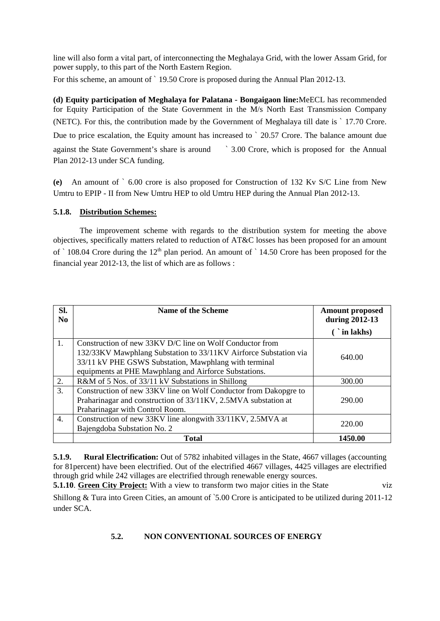line will also form a vital part, of interconnecting the Meghalaya Grid, with the lower Assam Grid, for power supply, to this part of the North Eastern Region.

For this scheme, an amount of ` 19.50 Crore is proposed during the Annual Plan 2012-13.

**(d) Equity participation of Meghalaya for Palatana - Bongaigaon line:**MeECL has recommended for Equity Participation of the State Government in the M/s North East Transmission Company (NETC). For this, the contribution made by the Government of Meghalaya till date is ` 17.70 Crore. Due to price escalation, the Equity amount has increased to  $\degree$  20.57 Crore. The balance amount due against the State Government's share is around ` 3.00 Crore, which is proposed for the Annual Plan 2012-13 under SCA funding.

**(e)** An amount of ` 6.00 crore is also proposed for Construction of 132 Kv S/C Line from New Umtru to EPIP - II from New Umtru HEP to old Umtru HEP during the Annual Plan 2012-13.

## **5.1.8. Distribution Schemes:**

 The improvement scheme with regards to the distribution system for meeting the above objectives, specifically matters related to reduction of AT&C losses has been proposed for an amount of  $\degree$  108.04 Crore during the 12<sup>th</sup> plan period. An amount of  $\degree$  14.50 Crore has been proposed for the financial year 2012-13, the list of which are as follows :

| SI.<br>N <sub>0</sub> | <b>Name of the Scheme</b>                                        | <b>Amount proposed</b><br>during 2012-13 |  |
|-----------------------|------------------------------------------------------------------|------------------------------------------|--|
|                       |                                                                  | $(i)$ in lakhs)                          |  |
| 1.                    | Construction of new 33KV D/C line on Wolf Conductor from         |                                          |  |
|                       | 132/33KV Mawphlang Substation to 33/11KV Airforce Substation via | 640.00                                   |  |
|                       | 33/11 kV PHE GSWS Substation, Mawphlang with terminal            |                                          |  |
|                       | equipments at PHE Mawphlang and Airforce Substations.            |                                          |  |
| 2.                    | R&M of 5 Nos. of 33/11 kV Substations in Shillong                | 300.00                                   |  |
| 3.                    | Construction of new 33KV line on Wolf Conductor from Dakopgre to |                                          |  |
|                       | Praharinagar and construction of 33/11KV, 2.5MVA substation at   | 290.00                                   |  |
|                       | Praharinagar with Control Room.                                  |                                          |  |
| 4.                    | Construction of new 33KV line alongwith 33/11KV, 2.5MVA at       | 220.00                                   |  |
|                       | Bajengdoba Substation No. 2                                      |                                          |  |
|                       | <b>Total</b>                                                     | 1450.00                                  |  |

**5.1.9. Rural Electrification:** Out of 5782 inhabited villages in the State, 4667 villages (accounting for 81percent) have been electrified. Out of the electrified 4667 villages, 4425 villages are electrified through grid while 242 villages are electrified through renewable energy sources.

**5.1.10. Green City Project:** With a view to transform two major cities in the State viz

Shillong & Tura into Green Cities, an amount of `5.00 Crore is anticipated to be utilized during 2011-12 under SCA.

# **5.2. NON CONVENTIONAL SOURCES OF ENERGY**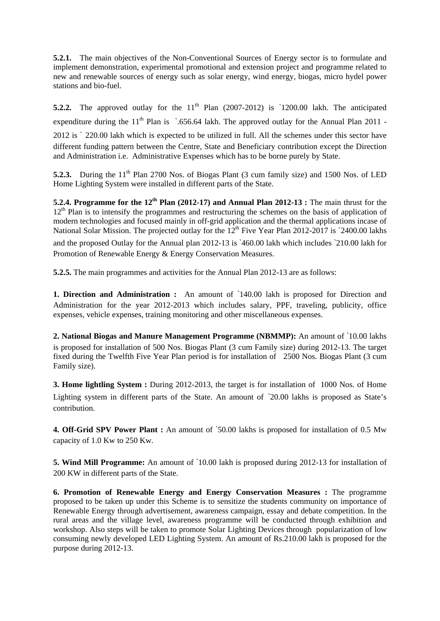**5.2.1.** The main objectives of the Non-Conventional Sources of Energy sector is to formulate and implement demonstration, experimental promotional and extension project and programme related to new and renewable sources of energy such as solar energy, wind energy, biogas, micro hydel power stations and bio-fuel.

**5.2.2.** The approved outlay for the  $11<sup>th</sup>$  Plan (2007-2012) is  $1200.00$  lakh. The anticipated expenditure during the  $11<sup>th</sup>$  Plan is  $\cdot$  656.64 lakh. The approved outlay for the Annual Plan 2011 -2012 is ` 220.00 lakh which is expected to be utilized in full. All the schemes under this sector have different funding pattern between the Centre, State and Beneficiary contribution except the Direction and Administration i.e. Administrative Expenses which has to be borne purely by State.

**5.2.3.** During the 11<sup>th</sup> Plan 2700 Nos. of Biogas Plant (3 cum family size) and 1500 Nos. of LED Home Lighting System were installed in different parts of the State.

**5.2.4. Programme for the 12th Plan (2012-17) and Annual Plan 2012-13 :** The main thrust for the 12<sup>th</sup> Plan is to intensify the programmes and restructuring the schemes on the basis of application of modern technologies and focused mainly in off-grid application and the thermal applications incase of National Solar Mission. The projected outlay for the  $12<sup>th</sup>$  Five Year Plan 2012-2017 is `2400.00 lakhs and the proposed Outlay for the Annual plan 2012-13 is `460.00 lakh which includes `210.00 lakh for Promotion of Renewable Energy & Energy Conservation Measures.

**5.2.5.** The main programmes and activities for the Annual Plan 2012-13 are as follows:

**1. Direction and Administration :** An amount of `140.00 lakh is proposed for Direction and Administration for the year 2012-2013 which includes salary, PPF, traveling, publicity, office expenses, vehicle expenses, training monitoring and other miscellaneous expenses.

**2. National Biogas and Manure Management Programme (NBMMP):** An amount of `10.00 lakhs is proposed for installation of 500 Nos. Biogas Plant (3 cum Family size) during 2012-13. The target fixed during the Twelfth Five Year Plan period is for installation of 2500 Nos. Biogas Plant (3 cum Family size).

**3. Home lightling System :** During 2012-2013, the target is for installation of 1000 Nos. of Home Lighting system in different parts of the State. An amount of `20.00 lakhs is proposed as State's contribution.

**4. Off-Grid SPV Power Plant :** An amount of `50.00 lakhs is proposed for installation of 0.5 Mw capacity of 1.0 Kw to 250 Kw.

**5. Wind Mill Programme:** An amount of `10.00 lakh is proposed during 2012-13 for installation of 200 KW in different parts of the State.

**6. Promotion of Renewable Energy and Energy Conservation Measures :** The programme proposed to be taken up under this Scheme is to sensitize the students community on importance of Renewable Energy through advertisement, awareness campaign, essay and debate competition. In the rural areas and the village level, awareness programme will be conducted through exhibition and workshop. Also steps will be taken to promote Solar Lighting Devices through popularization of low consuming newly developed LED Lighting System. An amount of Rs.210.00 lakh is proposed for the purpose during 2012-13.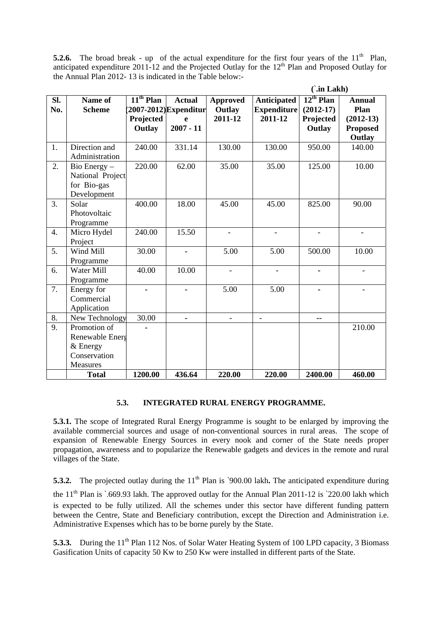**5.2.6.** The broad break - up of the actual expenditure for the first four years of the  $11<sup>th</sup>$  Plan, anticipated expenditure 2011-12 and the Projected Outlay for the  $12<sup>th</sup>$  Plan and Proposed Outlay for the Annual Plan 2012- 13 is indicated in the Table below:-

|                  |                  |             |                       |                          | $\int$ .in Lakh)         |                |                 |  |
|------------------|------------------|-------------|-----------------------|--------------------------|--------------------------|----------------|-----------------|--|
| Sl.              | Name of          | $11th$ Plan | <b>Actual</b>         | <b>Approved</b>          | <b>Anticipated</b>       | $12^{th}$ Plan | <b>Annual</b>   |  |
| No.              | <b>Scheme</b>    |             | 2007-2012) Expenditur | Outlay                   | <b>Expenditure</b>       | $(2012-17)$    | Plan            |  |
|                  |                  | Projected   | $\mathbf{e}$          | 2011-12                  | 2011-12                  | Projected      | $(2012-13)$     |  |
|                  |                  | Outlay      | $2007 - 11$           |                          |                          | Outlay         | <b>Proposed</b> |  |
|                  |                  |             |                       |                          |                          |                | Outlay          |  |
| 1.               | Direction and    | 240.00      | 331.14                | 130.00                   | 130.00                   | 950.00         | 140.00          |  |
|                  | Administration   |             |                       |                          |                          |                |                 |  |
| 2.               | Bio Energy $-$   | 220.00      | 62.00                 | 35.00                    | 35.00                    | 125.00         | 10.00           |  |
|                  | National Project |             |                       |                          |                          |                |                 |  |
|                  | for Bio-gas      |             |                       |                          |                          |                |                 |  |
|                  | Development      |             |                       |                          |                          |                |                 |  |
| 3.               | Solar            | 400.00      | 18.00                 | 45.00                    | 45.00                    | 825.00         | 90.00           |  |
|                  | Photovoltaic     |             |                       |                          |                          |                |                 |  |
|                  | Programme        |             |                       |                          |                          |                |                 |  |
| $\overline{4}$ . | Micro Hydel      | 240.00      | 15.50                 | $\overline{\phantom{0}}$ | $\overline{\phantom{0}}$ |                |                 |  |
|                  | Project          |             |                       |                          |                          |                |                 |  |
| 5.               | Wind Mill        | 30.00       |                       | 5.00                     | 5.00                     | 500.00         | 10.00           |  |
|                  | Programme        |             |                       |                          |                          |                |                 |  |
| 6.               | Water Mill       | 40.00       | 10.00                 |                          |                          |                |                 |  |
|                  | Programme        |             |                       |                          |                          |                |                 |  |
| $\overline{7}$ . | Energy for       |             |                       | 5.00                     | 5.00                     |                |                 |  |
|                  | Commercial       |             |                       |                          |                          |                |                 |  |
|                  | Application      |             |                       |                          |                          |                |                 |  |
| 8.               | New Technology   | 30.00       |                       | $\overline{\phantom{0}}$ | $\overline{\phantom{a}}$ | --             |                 |  |
| 9.               | Promotion of     |             |                       |                          |                          |                | 210.00          |  |
|                  | Renewable Energ  |             |                       |                          |                          |                |                 |  |
|                  | $&$ Energy       |             |                       |                          |                          |                |                 |  |
|                  | Conservation     |             |                       |                          |                          |                |                 |  |
|                  | Measures         |             |                       |                          |                          |                |                 |  |
|                  | <b>Total</b>     | 1200.00     | 436.64                | 220.00                   | 220.00                   | 2400.00        | 460.00          |  |

# **5.3. INTEGRATED RURAL ENERGY PROGRAMME.**

**5.3.1.** The scope of Integrated Rural Energy Programme is sought to be enlarged by improving the available commercial sources and usage of non-conventional sources in rural areas. The scope of expansion of Renewable Energy Sources in every nook and corner of the State needs proper propagation, awareness and to popularize the Renewable gadgets and devices in the remote and rural villages of the State.

**5.3.2.** The projected outlay during the 11<sup>th</sup> Plan is `900.00 lakh. The anticipated expenditure during the  $11<sup>th</sup>$  Plan is `.669.93 lakh. The approved outlay for the Annual Plan 2011-12 is `220.00 lakh which is expected to be fully utilized. All the schemes under this sector have different funding pattern between the Centre, State and Beneficiary contribution, except the Direction and Administration i.e. Administrative Expenses which has to be borne purely by the State.

**5.3.3.** During the 11<sup>th</sup> Plan 112 Nos. of Solar Water Heating System of 100 LPD capacity, 3 Biomass Gasification Units of capacity 50 Kw to 250 Kw were installed in different parts of the State.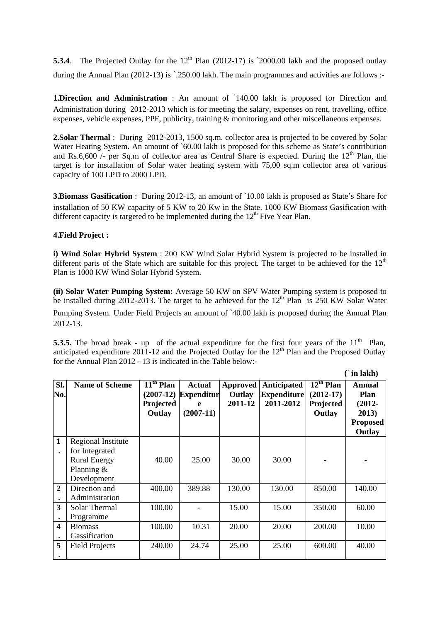**5.3.4**. The Projected Outlay for the  $12<sup>th</sup>$  Plan (2012-17) is  $\dot{c}$  2000.00 lakh and the proposed outlay during the Annual Plan (2012-13) is `.250.00 lakh. The main programmes and activities are follows :-

**1.Direction and Administration** : An amount of `140.00 lakh is proposed for Direction and Administration during 2012-2013 which is for meeting the salary, expenses on rent, travelling, office expenses, vehicle expenses, PPF, publicity, training & monitoring and other miscellaneous expenses.

2. Solar Thermal : During 2012-2013, 1500 sq.m. collector area is projected to be covered by Solar Water Heating System. An amount of `60.00 lakh is proposed for this scheme as State's contribution and Rs.6,600 /- per Sq.m of collector area as Central Share is expected. During the  $12<sup>th</sup>$  Plan, the target is for installation of Solar water heating system with 75,00 sq.m collector area of various capacity of 100 LPD to 2000 LPD.

**3.Biomass Gasification** : During 2012-13, an amount of 10.00 lakh is proposed as State's Share for installation of 50 KW capacity of 5 KW to 20 Kw in the State. 1000 KW Biomass Gasification with different capacity is targeted to be implemented during the  $12<sup>th</sup>$  Five Year Plan.

## **4.Field Project :**

**i) Wind Solar Hybrid System** : 200 KW Wind Solar Hybrid System is projected to be installed in different parts of the State which are suitable for this project. The target to be achieved for the  $12<sup>th</sup>$ Plan is 1000 KW Wind Solar Hybrid System.

**(ii) Solar Water Pumping System:** Average 50 KW on SPV Water Pumping system is proposed to be installed during 2012-2013. The target to be achieved for the  $12<sup>th</sup>$  Plan is 250 KW Solar Water

Pumping System. Under Field Projects an amount of `40.00 lakh is proposed during the Annual Plan 2012-13.

**5.3.5.** The broad break - up of the actual expenditure for the first four years of the  $11<sup>th</sup>$  Plan, anticipated expenditure 2011-12 and the Projected Outlay for the  $12<sup>th</sup>$  Plan and the Proposed Outlay for the Annual Plan 2012 - 13 is indicated in the Table below:-

|                |                       |                                                   |                                                        |                                      |                                                |                                                      | in lakh)                                                                 |
|----------------|-----------------------|---------------------------------------------------|--------------------------------------------------------|--------------------------------------|------------------------------------------------|------------------------------------------------------|--------------------------------------------------------------------------|
| SI.<br>No.     | <b>Name of Scheme</b> | $11th$ Plan<br>$(2007-12)$<br>Projected<br>Outlay | <b>Actual</b><br><b>Expenditur</b><br>e<br>$(2007-11)$ | <b>Approved</b><br>Outlay<br>2011-12 | Anticipated<br><b>Expenditure</b><br>2011-2012 | $12^{th}$ Plan<br>$(2012-17)$<br>Projected<br>Outlay | <b>Annual</b><br>Plan<br>$(2012 -$<br>2013)<br><b>Proposed</b><br>Outlay |
| $\mathbf{1}$   | Regional Institute    |                                                   |                                                        |                                      |                                                |                                                      |                                                                          |
| $\bullet$      | for Integrated        |                                                   |                                                        |                                      |                                                |                                                      |                                                                          |
|                | <b>Rural Energy</b>   | 40.00                                             | 25.00                                                  | 30.00                                | 30.00                                          |                                                      |                                                                          |
|                | Planning $&$          |                                                   |                                                        |                                      |                                                |                                                      |                                                                          |
|                | Development           |                                                   |                                                        |                                      |                                                |                                                      |                                                                          |
| $\overline{2}$ | Direction and         | 400.00                                            | 389.88                                                 | 130.00                               | 130.00                                         | 850.00                                               | 140.00                                                                   |
| $\bullet$      | Administration        |                                                   |                                                        |                                      |                                                |                                                      |                                                                          |
| 3              | Solar Thermal         | 100.00                                            |                                                        | 15.00                                | 15.00                                          | 350.00                                               | 60.00                                                                    |
|                | Programme             |                                                   |                                                        |                                      |                                                |                                                      |                                                                          |
| 4              | <b>Biomass</b>        | 100.00                                            | 10.31                                                  | 20.00                                | 20.00                                          | 200.00                                               | 10.00                                                                    |
| $\bullet$      | Gassification         |                                                   |                                                        |                                      |                                                |                                                      |                                                                          |
| 5              | <b>Field Projects</b> | 240.00                                            | 24.74                                                  | 25.00                                | 25.00                                          | 600.00                                               | 40.00                                                                    |
| ٠              |                       |                                                   |                                                        |                                      |                                                |                                                      |                                                                          |